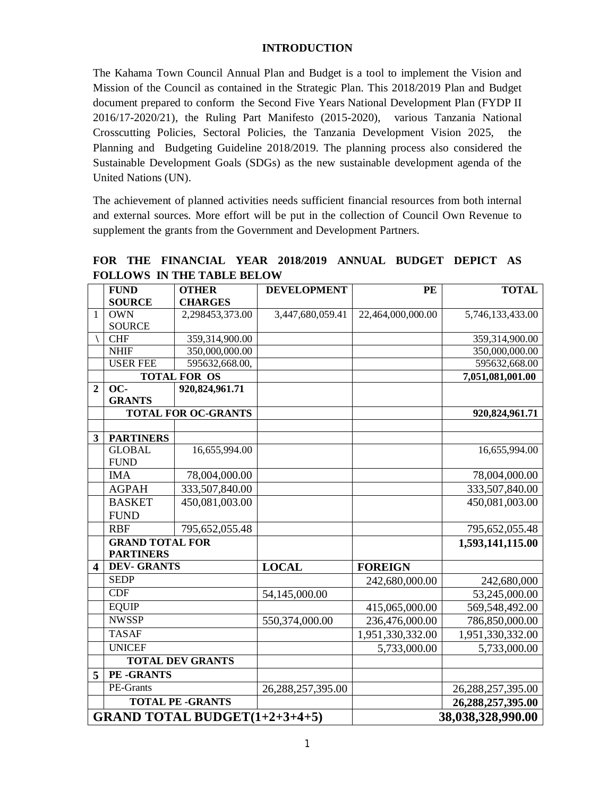#### **INTRODUCTION**

The Kahama Town Council Annual Plan and Budget is a tool to implement the Vision and Mission of the Council as contained in the Strategic Plan. This 2018/2019 Plan and Budget document prepared to conform the Second Five Years National Development Plan (FYDP II 2016/17-2020/21), the Ruling Part Manifesto (2015-2020), various Tanzania National Crosscutting Policies, Sectoral Policies, the Tanzania Development Vision 2025, the Planning and Budgeting Guideline 2018/2019. The planning process also considered the Sustainable Development Goals (SDGs) as the new sustainable development agenda of the United Nations (UN).

The achievement of planned activities needs sufficient financial resources from both internal and external sources. More effort will be put in the collection of Council Own Revenue to supplement the grants from the Government and Development Partners.

|                                      | <b>FUND</b>            | <b>OTHER</b>               | <b>DEVELOPMENT</b> | PE                | <b>TOTAL</b>      |
|--------------------------------------|------------------------|----------------------------|--------------------|-------------------|-------------------|
|                                      | <b>SOURCE</b>          | <b>CHARGES</b>             |                    |                   |                   |
| $\mathbf{1}$                         | <b>OWN</b>             | 2,298453,373.00            | 3,447,680,059.41   | 22,464,000,000.00 | 5,746,133,433.00  |
|                                      | <b>SOURCE</b>          |                            |                    |                   |                   |
|                                      | <b>CHF</b>             | 359,314,900.00             |                    |                   | 359,314,900.00    |
|                                      | <b>NHIF</b>            | 350,000,000.00             |                    |                   | 350,000,000.00    |
|                                      | <b>USER FEE</b>        | 595632,668.00,             |                    |                   | 595632,668.00     |
|                                      |                        | <b>TOTAL FOR OS</b>        |                    |                   | 7,051,081,001.00  |
| $\overline{2}$                       | OC-                    | 920,824,961.71             |                    |                   |                   |
|                                      | <b>GRANTS</b>          |                            |                    |                   |                   |
|                                      |                        | <b>TOTAL FOR OC-GRANTS</b> |                    |                   | 920,824,961.71    |
| 3                                    | <b>PARTINERS</b>       |                            |                    |                   |                   |
|                                      | <b>GLOBAL</b>          | 16,655,994.00              |                    |                   | 16,655,994.00     |
|                                      | <b>FUND</b>            |                            |                    |                   |                   |
|                                      | <b>IMA</b>             | 78,004,000.00              |                    |                   | 78,004,000.00     |
|                                      | <b>AGPAH</b>           | 333,507,840.00             |                    |                   | 333,507,840.00    |
|                                      | <b>BASKET</b>          | 450,081,003.00             |                    |                   | 450,081,003.00    |
|                                      | <b>FUND</b>            |                            |                    |                   |                   |
|                                      | <b>RBF</b>             | 795,652,055.48             |                    |                   | 795,652,055.48    |
|                                      | <b>GRAND TOTAL FOR</b> |                            |                    |                   | 1,593,141,115.00  |
|                                      | <b>PARTINERS</b>       |                            |                    |                   |                   |
| $\overline{\mathbf{4}}$              | <b>DEV- GRANTS</b>     |                            | <b>LOCAL</b>       | <b>FOREIGN</b>    |                   |
|                                      | <b>SEDP</b>            |                            |                    | 242,680,000.00    | 242,680,000       |
|                                      | <b>CDF</b>             |                            | 54,145,000.00      |                   | 53,245,000.00     |
|                                      | <b>EQUIP</b>           |                            |                    | 415,065,000.00    | 569,548,492.00    |
|                                      | <b>NWSSP</b>           |                            | 550,374,000.00     | 236,476,000.00    | 786,850,000.00    |
|                                      | <b>TASAF</b>           |                            |                    | 1,951,330,332.00  | 1,951,330,332.00  |
|                                      | <b>UNICEF</b>          |                            |                    | 5,733,000.00      | 5,733,000.00      |
|                                      |                        | <b>TOTAL DEV GRANTS</b>    |                    |                   |                   |
| 5                                    | PE-GRANTS              |                            |                    |                   |                   |
|                                      | PE-Grants              |                            | 26,288,257,395.00  |                   | 26,288,257,395.00 |
|                                      |                        | <b>TOTAL PE -GRANTS</b>    |                    |                   | 26,288,257,395.00 |
| <b>GRAND TOTAL BUDGET(1+2+3+4+5)</b> |                        |                            |                    | 38,038,328,990.00 |                   |

**FOR THE FINANCIAL YEAR 2018/2019 ANNUAL BUDGET DEPICT AS FOLLOWS IN THE TABLE BELOW**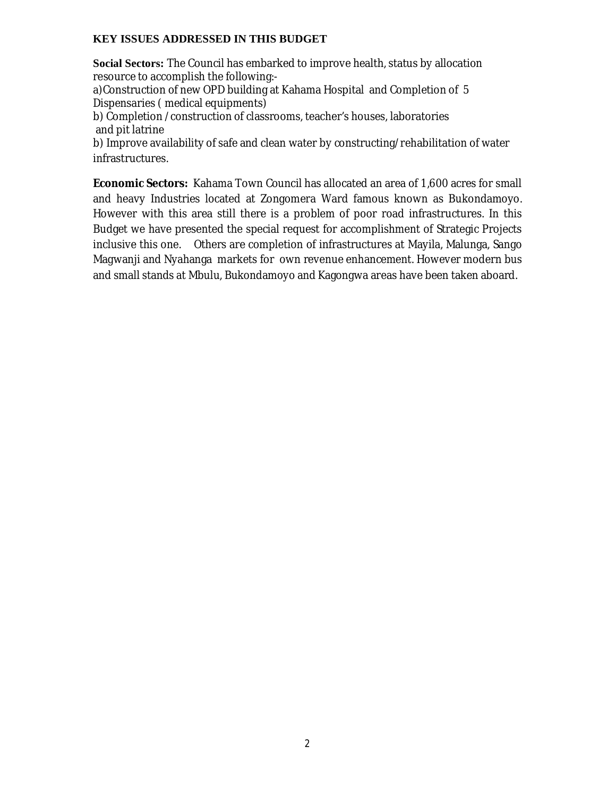# **KEY ISSUES ADDRESSED IN THIS BUDGET**

**Social Sectors:** The Council has embarked to improve health, status by allocation resource to accomplish the following:-

a)Construction of new OPD building at Kahama Hospital and Completion of 5 Dispensaries ( medical equipments)

b) Completion /construction of classrooms, teacher's houses, laboratories and pit latrine

b) Improve availability of safe and clean water by constructing/rehabilitation of water infrastructures.

**Economic Sectors:** Kahama Town Council has allocated an area of 1,600 acres for small and heavy Industries located at Zongomera Ward famous known as Bukondamoyo. However with this area still there is a problem of poor road infrastructures. In this Budget we have presented the special request for accomplishment of Strategic Projects inclusive this one. Others are completion of infrastructures at Mayila, Malunga, Sango Magwanji and Nyahanga markets for own revenue enhancement. However modern bus and small stands at Mbulu, Bukondamoyo and Kagongwa areas have been taken aboard.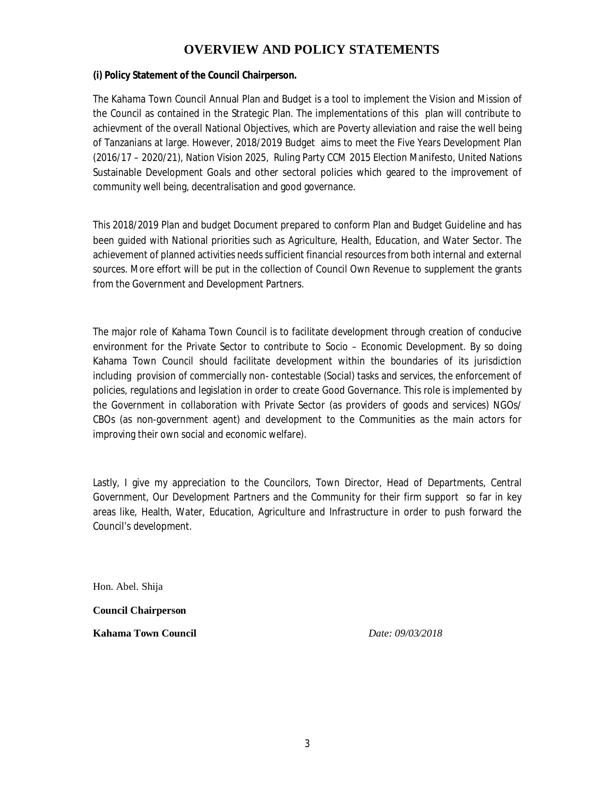# **OVERVIEW AND POLICY STATEMENTS**

#### **(i) Policy Statement of the Council Chairperson.**

The Kahama Town Council Annual Plan and Budget is a tool to implement the Vision and Mission of the Council as contained in the Strategic Plan. The implementations of this plan will contribute to achievment of the overall National Objectives, which are Poverty alleviation and raise the well being of Tanzanians at large. However, 2018/2019 Budget aims to meet the Five Years Development Plan (2016/17 – 2020/21), Nation Vision 2025, Ruling Party CCM 2015 Election Manifesto, United Nations Sustainable Development Goals and other sectoral policies which geared to the improvement of community well being, decentralisation and good governance.

This 2018/2019 Plan and budget Document prepared to conform Plan and Budget Guideline and has been guided with National priorities such as Agriculture, Health, Education, and Water Sector. The achievement of planned activities needs sufficient financial resources from both internal and external sources. More effort will be put in the collection of Council Own Revenue to supplement the grants from the Government and Development Partners.

The major role of Kahama Town Council is to facilitate development through creation of conducive environment for the Private Sector to contribute to Socio – Economic Development. By so doing Kahama Town Council should facilitate development within the boundaries of its jurisdiction including provision of commercially non- contestable (Social) tasks and services, the enforcement of policies, regulations and legislation in order to create Good Governance. This role is implemented by the Government in collaboration with Private Sector (as providers of goods and services) NGOs/ CBOs (as non-government agent) and development to the Communities as the main actors for improving their own social and economic welfare).

Lastly, I give my appreciation to the Councilors, Town Director, Head of Departments, Central Government, Our Development Partners and the Community for their firm support so far in key areas like, Health, Water, Education, Agriculture and Infrastructure in order to push forward the Council's development.

Hon. Abel. Shija

**Council Chairperson**

**Kahama Town Council** *Date: 09/03/2018*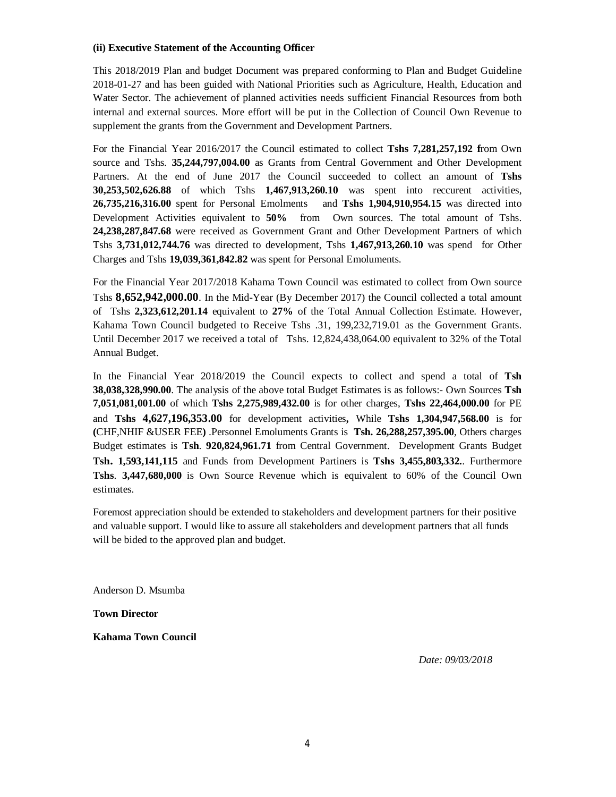#### **(ii) Executive Statement of the Accounting Officer**

This 2018/2019 Plan and budget Document was prepared conforming to Plan and Budget Guideline 2018-01-27 and has been guided with National Priorities such as Agriculture, Health, Education and Water Sector. The achievement of planned activities needs sufficient Financial Resources from both internal and external sources. More effort will be put in the Collection of Council Own Revenue to supplement the grants from the Government and Development Partners.

For the Financial Year 2016/2017 the Council estimated to collect **Tshs 7,281,257,192 f**rom Own source and Tshs. **35,244,797,004.00** as Grants from Central Government and Other Development Partners. At the end of June 2017 the Council succeeded to collect an amount of **Tshs 30,253,502,626.88** of which Tshs **1,467,913,260.10** was spent into reccurent activities, **26,735,216,316.00** spent for Personal Emolments and **Tshs 1,904,910,954.15** was directed into Development Activities equivalent to **50%** from Own sources. The total amount of Tshs. **24,238,287,847.68** were received as Government Grant and Other Development Partners of which Tshs **3,731,012,744.76** was directed to development, Tshs **1,467,913,260.10** was spend for Other Charges and Tshs **19,039,361,842.82** was spent for Personal Emoluments.

For the Financial Year 2017/2018 Kahama Town Council was estimated to collect from Own source Tshs **8,652,942,000.00**. In the Mid-Year (By December 2017) the Council collected a total amount of Tshs **2,323,612,201.14** equivalent to **27%** of the Total Annual Collection Estimate. However, Kahama Town Council budgeted to Receive Tshs .31, 199,232,719.01 as the Government Grants. Until December 2017 we received a total of Tshs. 12,824,438,064.00 equivalent to 32% of the Total Annual Budget.

In the Financial Year 2018/2019 the Council expects to collect and spend a total of **Tsh 38,038,328,990.00**. The analysis of the above total Budget Estimates is as follows:- Own Sources **Tsh 7,051,081,001.00** of which **Tshs 2,275,989,432.00** is for other charges, **Tshs 22,464,000.00** for PE and **Tshs 4,627,196,353.00** for development activities**,** While **Tshs 1,304,947,568.00** is for **(**CHF,NHIF &USER FEE**)** .Personnel Emoluments Grants is **Tsh. 26,288,257,395.00**, Others charges Budget estimates is **Tsh**. **920,824,961.71** from Central Government. Development Grants Budget **Tsh. 1,593,141,115** and Funds from Development Partiners is **Tshs 3,455,803,332.**. Furthermore **Tshs**. **3,447,680,000** is Own Source Revenue which is equivalent to 60% of the Council Own estimates.

Foremost appreciation should be extended to stakeholders and development partners for their positive and valuable support. I would like to assure all stakeholders and development partners that all funds will be bided to the approved plan and budget.

Anderson D. Msumba

**Town Director**

**Kahama Town Council** 

*Date: 09/03/2018*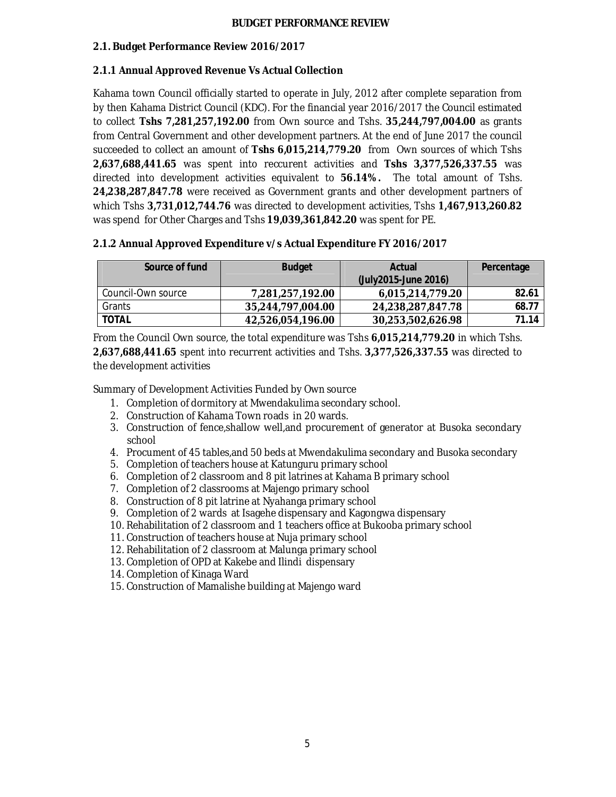#### **2.1. Budget Performance Review 2016/2017**

#### **2.1.1 Annual Approved Revenue Vs Actual Collection**

Kahama town Council officially started to operate in July, 2012 after complete separation from by then Kahama District Council (KDC). For the financial year 2016/2017 the Council estimated to collect **Tshs 7,281,257,192.00** from Own source and Tshs. **35,244,797,004.00** as grants from Central Government and other development partners. At the end of June 2017 the council succeeded to collect an amount of **Tshs 6,015,214,779.20** from Own sources of which Tshs **2,637,688,441.65** was spent into reccurent activities and **Tshs 3,377,526,337.55** was directed into development activities equivalent to **56.14%.** The total amount of Tshs. **24,238,287,847.78** were received as Government grants and other development partners of which Tshs **3,731,012,744.76** was directed to development activities, Tshs **1,467,913,260.82** was spend for Other Charges and Tshs **19,039,361,842.20** was spent for PE.

#### **2.1.2 Annual Approved Expenditure v/s Actual Expenditure FY 2016/2017**

| Source of fund     | <b>Budget</b>     | <b>Actual</b><br>(July2015-June 2016) | Percentage |
|--------------------|-------------------|---------------------------------------|------------|
| Council-Own source | 7,281,257,192.00  | 6,015,214,779.20                      | 82.61      |
| Grants             | 35,244,797,004.00 | 24,238,287,847.78                     | 68.77      |
| TOTAL              | 42,526,054,196.00 | 30,253,502,626.98                     | 71.14      |

From the Council Own source, the total expenditure was Tshs **6,015,214,779.20** in which Tshs. **2,637,688,441.65** spent into recurrent activities and Tshs. **3,377,526,337.55** was directed to the development activities

Summary of Development Activities Funded by Own source

- 1. Completion of dormitory at Mwendakulima secondary school.
- 2. Construction of Kahama Town roads in 20 wards.
- 3. Construction of fence,shallow well,and procurement of generator at Busoka secondary school
- 4. Procument of 45 tables,and 50 beds at Mwendakulima secondary and Busoka secondary
- 5. Completion of teachers house at Katunguru primary school
- 6. Completion of 2 classroom and 8 pit latrines at Kahama B primary school
- 7. Completion of 2 classrooms at Majengo primary school
- 8. Construction of 8 pit latrine at Nyahanga primary school
- 9. Completion of 2 wards at Isagehe dispensary and Kagongwa dispensary
- 10. Rehabilitation of 2 classroom and 1 teachers office at Bukooba primary school
- 11. Construction of teachers house at Nuja primary school
- 12. Rehabilitation of 2 classroom at Malunga primary school
- 13. Completion of OPD at Kakebe and Ilindi dispensary
- 14. Completion of Kinaga Ward
- 15. Construction of Mamalishe building at Majengo ward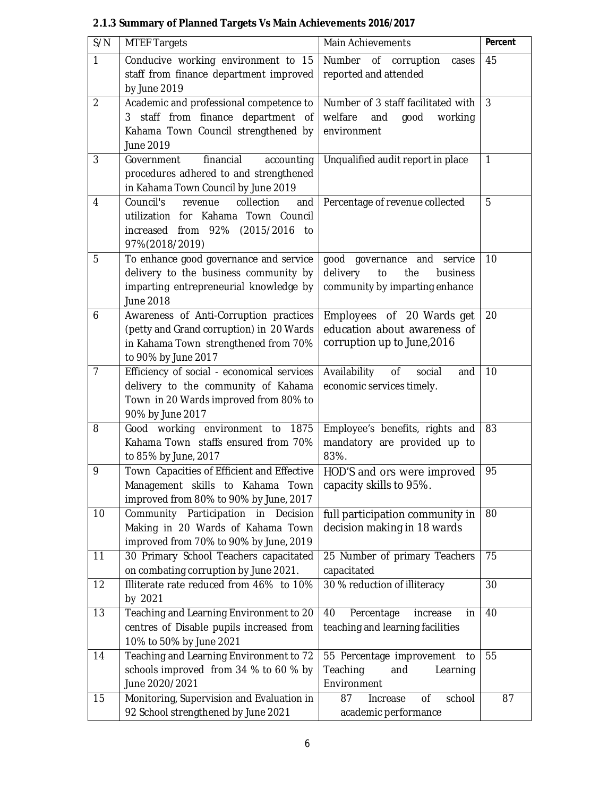| S/N            | <b>MTEF Targets</b>                                                                 | Main Achievements                                                      | Percent      |
|----------------|-------------------------------------------------------------------------------------|------------------------------------------------------------------------|--------------|
| $\mathbf{1}$   | Conducive working environment to 15                                                 | Number of corruption<br>cases                                          | 45           |
|                | staff from finance department improved                                              | reported and attended                                                  |              |
|                | by June 2019                                                                        |                                                                        |              |
| $\overline{2}$ | Academic and professional competence to                                             | Number of 3 staff facilitated with                                     | 3            |
|                | 3 staff from finance department of                                                  | welfare<br>and<br>good<br>working                                      |              |
|                | Kahama Town Council strengthened by<br>June 2019                                    | environment                                                            |              |
|                |                                                                                     |                                                                        | $\mathbf{1}$ |
| 3              | financial<br>Government<br>accounting<br>procedures adhered to and strengthened     | Unqualified audit report in place                                      |              |
|                | in Kahama Town Council by June 2019                                                 |                                                                        |              |
| $\overline{4}$ | Council's<br>collection<br>revenue<br>and                                           | Percentage of revenue collected                                        | 5            |
|                | utilization for Kahama Town Council                                                 |                                                                        |              |
|                | increased from 92% (2015/2016 to                                                    |                                                                        |              |
|                | 97%(2018/2019)                                                                      |                                                                        |              |
| 5              | To enhance good governance and service                                              | good governance and<br>service                                         | 10           |
|                | delivery to the business community by                                               | delivery<br>to<br>the<br>business                                      |              |
|                | imparting entrepreneurial knowledge by                                              | community by imparting enhance                                         |              |
|                | June 2018                                                                           |                                                                        |              |
| 6              | Awareness of Anti-Corruption practices                                              | Employees of 20 Wards get                                              | 20           |
|                | (petty and Grand corruption) in 20 Wards                                            | education about awareness of                                           |              |
|                | in Kahama Town strengthened from 70%                                                | corruption up to June, 2016                                            |              |
|                | to 90% by June 2017                                                                 |                                                                        |              |
| $\overline{7}$ | Efficiency of social - economical services                                          | Availability<br>of<br>social<br>and                                    | 10           |
|                | delivery to the community of Kahama                                                 | economic services timely.                                              |              |
|                | Town in 20 Wards improved from 80% to<br>90% by June 2017                           |                                                                        |              |
| 8              | Good working environment to 1875                                                    | Employee's benefits, rights and                                        | 83           |
|                | Kahama Town staffs ensured from 70%                                                 | mandatory are provided up to                                           |              |
|                | to 85% by June, 2017                                                                | 83%.                                                                   |              |
| 9              | Town Capacities of Efficient and Effective                                          | HOD'S and ors were improved                                            | 95           |
|                | Management skills to Kahama Town                                                    | capacity skills to 95%.                                                |              |
|                | improved from 80% to 90% by June, 2017                                              |                                                                        |              |
| 10             | Community Participation in<br>Decision                                              | full participation community in                                        | 80           |
|                | Making in 20 Wards of Kahama Town                                                   | decision making in 18 wards                                            |              |
|                | improved from 70% to 90% by June, 2019                                              |                                                                        |              |
| 11             | 30 Primary School Teachers capacitated                                              | 25 Number of primary Teachers                                          | 75           |
|                | on combating corruption by June 2021.                                               | capacitated                                                            |              |
| 12             | Illiterate rate reduced from 46% to 10%                                             | 30 % reduction of illiteracy                                           | 30           |
|                | by 2021                                                                             |                                                                        |              |
| 13             | Teaching and Learning Environment to 20<br>centres of Disable pupils increased from | Percentage<br>40<br>increase<br>in<br>teaching and learning facilities | 40           |
|                | 10% to 50% by June 2021                                                             |                                                                        |              |
| 14             | Teaching and Learning Environment to 72                                             | 55 Percentage improvement<br>to                                        | 55           |
|                | schools improved from 34 % to 60 % by                                               | Teaching<br>and<br>Learning                                            |              |
|                | June 2020/2021                                                                      | Environment                                                            |              |
| 15             | Monitoring, Supervision and Evaluation in                                           | 0f<br>school<br>87<br>Increase                                         | 87           |
|                | 92 School strengthened by June 2021                                                 | academic performance                                                   |              |

# **2.1.3 Summary of Planned Targets Vs Main Achievements 2016/2017**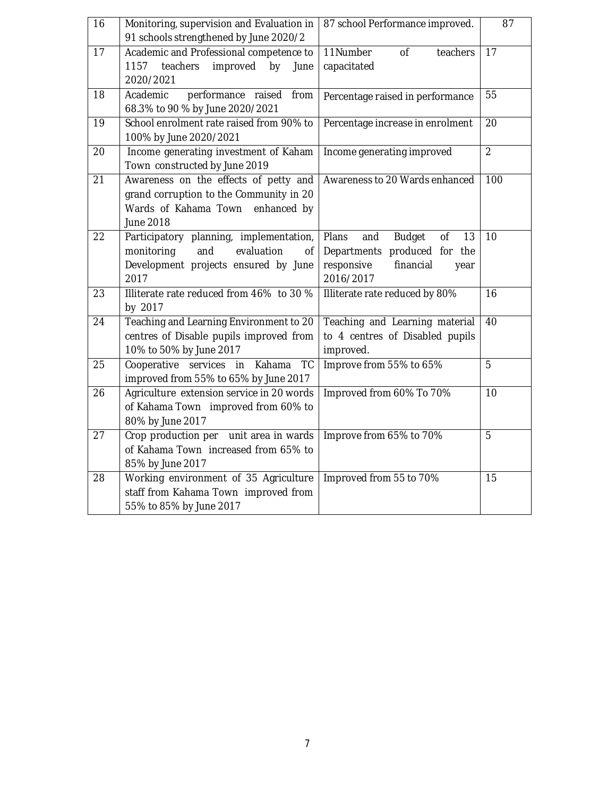| 16              | Monitoring, supervision and Evaluation in<br>91 schools strengthened by June 2020/2                                                  | 87 school Performance improved.                                                                                           | 87             |
|-----------------|--------------------------------------------------------------------------------------------------------------------------------------|---------------------------------------------------------------------------------------------------------------------------|----------------|
| 17              | Academic and Professional competence to<br>teachers<br>improved<br>1157<br>by<br>June<br>2020/2021                                   | 11Number<br>of<br>teachers<br>capacitated                                                                                 | 17             |
| 18              | performance raised<br>Academic<br>from<br>68.3% to 90 % by June 2020/2021                                                            | Percentage raised in performance                                                                                          | 55             |
| 19              | School enrolment rate raised from 90% to<br>100% by June 2020/2021                                                                   | Percentage increase in enrolment                                                                                          | 20             |
| 20              | Income generating investment of Kaham<br>Town constructed by June 2019                                                               | Income generating improved                                                                                                | $\overline{2}$ |
| $\overline{21}$ | Awareness on the effects of petty and<br>grand corruption to the Community in 20<br>Wards of Kahama Town<br>enhanced by<br>June 2018 | Awareness to 20 Wards enhanced                                                                                            | 100            |
| 22              | Participatory planning, implementation,<br>monitoring<br>and<br>evaluation<br>οf<br>Development projects ensured by June<br>2017     | Plans<br><b>Budget</b><br>and<br>0f<br>13<br>Departments produced for the<br>responsive<br>financial<br>year<br>2016/2017 | 10             |
| 23              | Illiterate rate reduced from 46% to 30 %<br>by 2017                                                                                  | Illiterate rate reduced by 80%                                                                                            | 16             |
| 24              | Teaching and Learning Environment to 20<br>centres of Disable pupils improved from<br>10% to 50% by June 2017                        | Teaching and Learning material<br>to 4 centres of Disabled pupils<br>improved.                                            | 40             |
| 25              | Cooperative services in<br>Kahama<br><b>TC</b><br>improved from 55% to 65% by June 2017                                              | Improve from 55% to 65%                                                                                                   | 5              |
| 26              | Agriculture extension service in 20 words<br>of Kahama Town improved from 60% to<br>80% by June 2017                                 | Improved from 60% To 70%                                                                                                  | 10             |
| 27              | Crop production per unit area in wards<br>of Kahama Town increased from 65% to<br>85% by June 2017                                   | Improve from 65% to 70%                                                                                                   | 5              |
| 28              | Working environment of 35 Agriculture<br>staff from Kahama Town improved from<br>55% to 85% by June 2017                             | Improved from 55 to 70%                                                                                                   | 15             |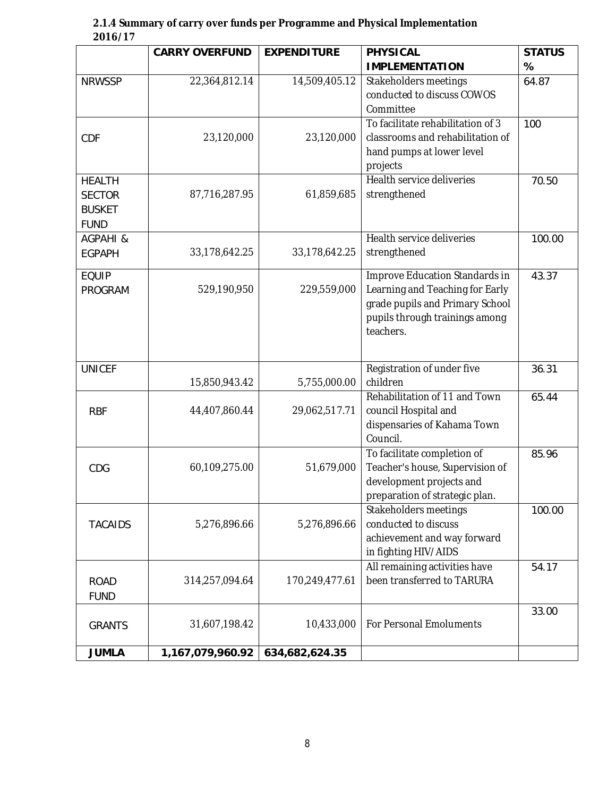| 2.1.4 Summary of carry over funds per Programme and Physical Implementation |  |
|-----------------------------------------------------------------------------|--|
| 2016/17                                                                     |  |

|                                                                | <b>CARRY OVERFUND</b> | <b>EXPENDITURE</b> | <b>PHYSICAL</b>                                                                                                                                     | <b>STATUS</b> |
|----------------------------------------------------------------|-----------------------|--------------------|-----------------------------------------------------------------------------------------------------------------------------------------------------|---------------|
|                                                                |                       |                    | <b>IMPLEMENTATION</b>                                                                                                                               | %             |
| <b>NRWSSP</b>                                                  | 22,364,812.14         | 14,509,405.12      | Stakeholders meetings<br>conducted to discuss COWOS<br>Committee                                                                                    | 64.87         |
| CDF                                                            | 23,120,000            | 23,120,000         | To facilitate rehabilitation of 3<br>classrooms and rehabilitation of<br>hand pumps at lower level<br>projects                                      | 100           |
| <b>HEALTH</b><br><b>SECTOR</b><br><b>BUSKET</b><br><b>FUND</b> | 87,716,287.95         | 61,859,685         | Health service deliveries<br>strengthened                                                                                                           | 70.50         |
| AGPAHI &<br><b>EGPAPH</b>                                      | 33,178,642.25         | 33,178,642.25      | Health service deliveries<br>strengthened                                                                                                           | 100.00        |
| <b>EQUIP</b><br><b>PROGRAM</b>                                 | 529,190,950           | 229,559,000        | Improve Education Standards in<br>Learning and Teaching for Early<br>grade pupils and Primary School<br>pupils through trainings among<br>teachers. | 43.37         |
| <b>UNICEF</b>                                                  | 15,850,943.42         | 5,755,000.00       | Registration of under five<br>children                                                                                                              | 36.31         |
| <b>RBF</b>                                                     | 44,407,860.44         | 29,062,517.71      | Rehabilitation of 11 and Town<br>council Hospital and<br>dispensaries of Kahama Town<br>Council.                                                    | 65.44         |
| CDG                                                            | 60,109,275.00         | 51,679,000         | To facilitate completion of<br>Teacher's house, Supervision of<br>development projects and<br>preparation of strategic plan.                        | 85.96         |
| <b>TACAIDS</b>                                                 | 5,276,896.66          | 5,276,896.66       | Stakeholders meetings<br>conducted to discuss<br>achievement and way forward<br>in fighting HIV/AIDS                                                | 100.00        |
| <b>ROAD</b><br><b>FUND</b>                                     | 314,257,094.64        | 170,249,477.61     | All remaining activities have<br>been transferred to TARURA                                                                                         | 54.17         |
| <b>GRANTS</b>                                                  | 31,607,198.42         | 10,433,000         | <b>For Personal Emoluments</b>                                                                                                                      | 33.00         |
| <b>JUMLA</b>                                                   | 1,167,079,960.92      | 634,682,624.35     |                                                                                                                                                     |               |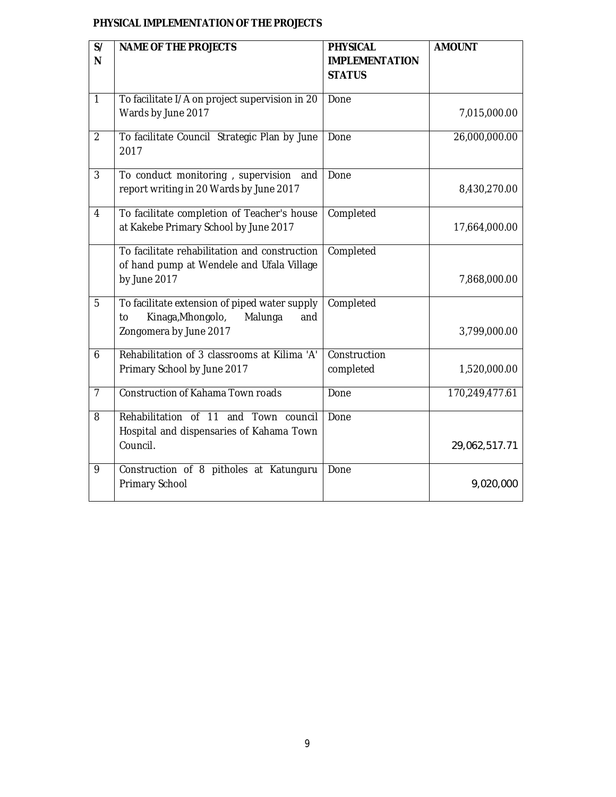### **PHYSICAL IMPLEMENTATION OF THE PROJECTS**

| S/<br>N        | <b>NAME OF THE PROJECTS</b>                                                                                          | <b>PHYSICAL</b><br><b>IMPLEMENTATION</b> | <b>AMOUNT</b>  |
|----------------|----------------------------------------------------------------------------------------------------------------------|------------------------------------------|----------------|
|                |                                                                                                                      | <b>STATUS</b>                            |                |
| $\mathbf{1}$   | To facilitate I/A on project supervision in 20<br>Wards by June 2017                                                 | Done                                     | 7,015,000.00   |
| $\overline{2}$ | To facilitate Council Strategic Plan by June<br>2017                                                                 | Done                                     | 26,000,000.00  |
| 3              | To conduct monitoring, supervision<br>and<br>report writing in 20 Wards by June 2017                                 | Done                                     | 8,430,270.00   |
| $\overline{4}$ | To facilitate completion of Teacher's house<br>at Kakebe Primary School by June 2017                                 | Completed                                | 17,664,000.00  |
|                | To facilitate rehabilitation and construction<br>of hand pump at Wendele and Ufala Village<br>by June 2017           | Completed                                | 7,868,000.00   |
| $\overline{5}$ | To facilitate extension of piped water supply<br>Kinaga, Mhongolo,<br>Malunga<br>to<br>and<br>Zongomera by June 2017 | Completed                                | 3,799,000.00   |
| 6              | Rehabilitation of 3 classrooms at Kilima 'A'<br>Primary School by June 2017                                          | Construction<br>completed                | 1,520,000.00   |
| $\overline{7}$ | <b>Construction of Kahama Town roads</b>                                                                             | Done                                     | 170,249,477.61 |
| 8              | Rehabilitation of 11 and Town council<br>Hospital and dispensaries of Kahama Town<br>Council.                        | Done                                     | 29,062,517.71  |
| 9              | Construction of 8 pitholes at Katunguru<br>Primary School                                                            | Done                                     | 9,020,000      |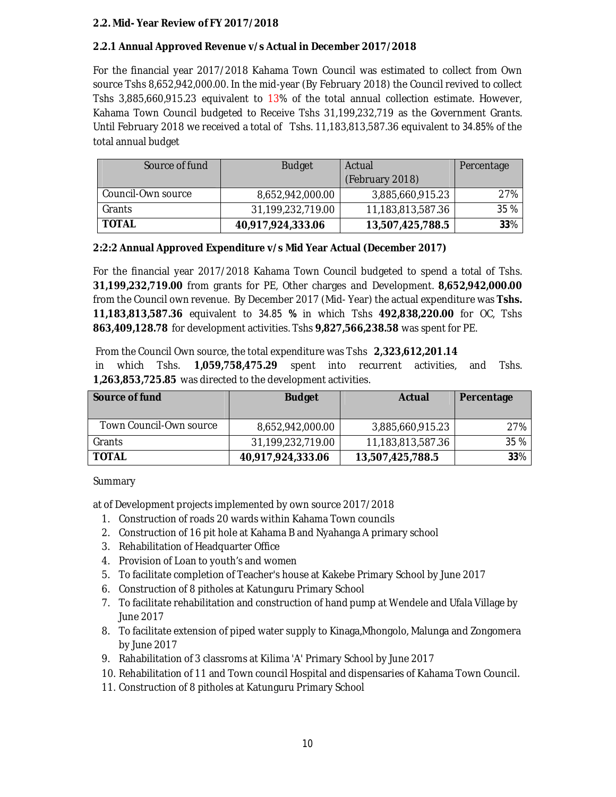#### **2.2. Mid- Year Review of FY 2017/2018**

#### **2.2.1 Annual Approved Revenue v/s Actual in December 2017/2018**

For the financial year 2017/2018 Kahama Town Council was estimated to collect from Own source Tshs 8,652,942,000.00. In the mid-year (By February 2018) the Council revived to collect Tshs 3,885,660,915.23 equivalent to 13% of the total annual collection estimate. However, Kahama Town Council budgeted to Receive Tshs 31,199,232,719 as the Government Grants. Until February 2018 we received a total of Tshs. 11,183,813,587.36 equivalent to 34.85% of the total annual budget

| Source of fund     | <b>Budget</b>     | Actual            | Percentage |
|--------------------|-------------------|-------------------|------------|
|                    |                   | (February 2018)   |            |
| Council-Own source | 8,652,942,000.00  | 3,885,660,915.23  | 27%        |
| Grants             | 31,199,232,719.00 | 11,183,813,587.36 | 35 %       |
| <b>TOTAL</b>       | 40,917,924,333.06 | 13,507,425,788.5  | 33%        |

#### **2:2:2 Annual Approved Expenditure v/s Mid Year Actual (December** *2017***)**

For the financial year 2017/2018 Kahama Town Council budgeted to spend a total of Tshs. **31,199,232,719.00** from grants for PE, Other charges and Development. **8,652,942,000.00** from the Council own revenue. By December 2017 (Mid- Year) the actual expenditure was **Tshs. 11,183,813,587.36** equivalent to 34.85 **%** in which Tshs **492,838,220.00** for OC, Tshs **863,409,128.78** for development activities. Tshs **9,827,566,238.58** was spent for PE.

From the Council Own source, the total expenditure was Tshs **2,323,612,201.14**

in which Tshs. **1,059,758,475.29** spent into recurrent activities, and Tshs. **1,263,853,725.85** was directed to the development activities.

| Source of fund          | <b>Budget</b>     | Actual            | Percentage |
|-------------------------|-------------------|-------------------|------------|
| Town Council-Own source | 8,652,942,000.00  | 3,885,660,915.23  | 27%        |
| Grants                  | 31,199,232,719.00 | 11,183,813,587.36 | 35 %       |
| TOTAL                   | 40,917,924,333.06 | 13,507,425,788.5  | $33\%$     |

Summary

at of Development projects implemented by own source 2017/2018

- 1. Construction of roads 20 wards within Kahama Town councils
- 2. Construction of 16 pit hole at Kahama B and Nyahanga A primary school
- 3. Rehabilitation of Headquarter Office
- 4. Provision of Loan to youth's and women
- 5. To facilitate completion of Teacher's house at Kakebe Primary School by June 2017
- 6. Construction of 8 pitholes at Katunguru Primary School
- 7. To facilitate rehabilitation and construction of hand pump at Wendele and Ufala Village by June 2017
- 8. To facilitate extension of piped water supply to Kinaga,Mhongolo, Malunga and Zongomera by June 2017
- 9. Rahabilitation of 3 classroms at Kilima 'A' Primary School by June 2017
- 10. Rehabilitation of 11 and Town council Hospital and dispensaries of Kahama Town Council.
- 11. Construction of 8 pitholes at Katunguru Primary School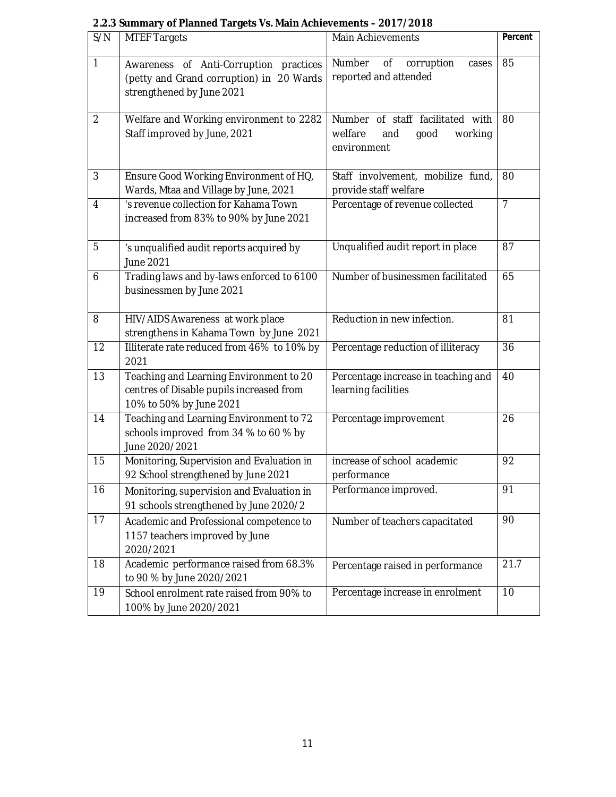| S/N            | <b>MTEF Targets</b>                                                                                             | Main Achievements                                                                    | Percent        |
|----------------|-----------------------------------------------------------------------------------------------------------------|--------------------------------------------------------------------------------------|----------------|
| $\mathbf{1}$   | Awareness of Anti-Corruption practices<br>(petty and Grand corruption) in 20 Wards<br>strengthened by June 2021 | Number<br>corruption<br>Οf<br>cases<br>reported and attended                         | 85             |
| $\overline{2}$ | Welfare and Working environment to 2282<br>Staff improved by June, 2021                                         | Number of staff facilitated with<br>welfare<br>good<br>working<br>and<br>environment | 80             |
| 3              | Ensure Good Working Environment of HQ,<br>Wards, Mtaa and Village by June, 2021                                 | Staff involvement, mobilize fund,<br>provide staff welfare                           | 80             |
| $\overline{4}$ | 's revenue collection for Kahama Town<br>increased from 83% to 90% by June 2021                                 | Percentage of revenue collected                                                      | $\overline{7}$ |
| 5              | 's unqualified audit reports acquired by<br>June 2021                                                           | Unqualified audit report in place                                                    | 87             |
| 6              | Trading laws and by-laws enforced to 6100<br>businessmen by June 2021                                           | Number of businessmen facilitated                                                    | 65             |
| 8              | HIV/AIDS Awareness at work place<br>strengthens in Kahama Town by June 2021                                     | Reduction in new infection.                                                          | 81             |
| 12             | Illiterate rate reduced from 46% to 10% by<br>2021                                                              | Percentage reduction of illiteracy                                                   | 36             |
| 13             | Teaching and Learning Environment to 20<br>centres of Disable pupils increased from<br>10% to 50% by June 2021  | Percentage increase in teaching and<br>learning facilities                           | 40             |
| 14             | Teaching and Learning Environment to 72<br>schools improved from 34 % to 60 % by<br>June 2020/2021              | Percentage improvement                                                               | 26             |
| 15             | Monitoring, Supervision and Evaluation in<br>92 School strengthened by June 2021                                | increase of school academic<br>performance                                           | 92             |
| 16             | Monitoring, supervision and Evaluation in<br>91 schools strengthened by June 2020/2                             | Performance improved.                                                                | 91             |
| 17             | Academic and Professional competence to<br>1157 teachers improved by June<br>2020/2021                          | Number of teachers capacitated                                                       | 90             |
| 18             | Academic performance raised from 68.3%<br>to 90 % by June 2020/2021                                             | Percentage raised in performance                                                     | 21.7           |
| 19             | School enrolment rate raised from 90% to<br>100% by June 2020/2021                                              | Percentage increase in enrolment                                                     | 10             |

### **2.2.3 Summary of Planned Targets Vs. Main Achievements – 2017/2018**